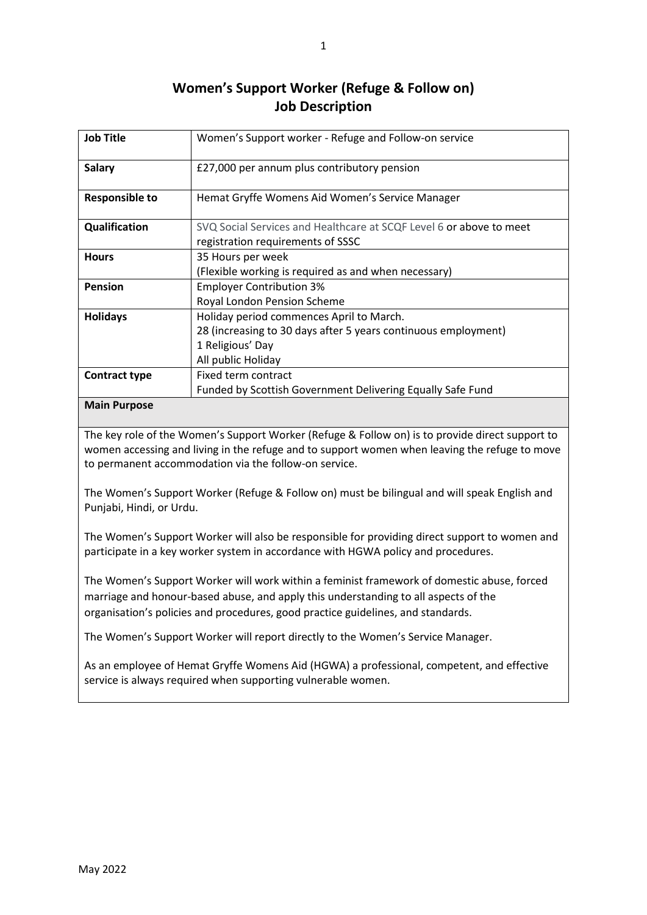## **Women's Support Worker (Refuge & Follow on) Job Description**

| <b>Job Title</b>                             | Women's Support worker - Refuge and Follow-on service               |
|----------------------------------------------|---------------------------------------------------------------------|
| <b>Salary</b>                                | £27,000 per annum plus contributory pension                         |
| <b>Responsible to</b>                        | Hemat Gryffe Womens Aid Women's Service Manager                     |
| Qualification                                | SVQ Social Services and Healthcare at SCQF Level 6 or above to meet |
|                                              | registration requirements of SSSC                                   |
| <b>Hours</b>                                 | 35 Hours per week                                                   |
|                                              | (Flexible working is required as and when necessary)                |
| <b>Pension</b>                               | <b>Employer Contribution 3%</b>                                     |
|                                              | Royal London Pension Scheme                                         |
| <b>Holidays</b>                              | Holiday period commences April to March.                            |
|                                              | 28 (increasing to 30 days after 5 years continuous employment)      |
|                                              | 1 Religious' Day                                                    |
|                                              | All public Holiday                                                  |
| <b>Contract type</b>                         | Fixed term contract                                                 |
|                                              | Funded by Scottish Government Delivering Equally Safe Fund          |
| $\mathbf{a}$ . $\mathbf{b}$ . $\mathbf{c}$ . |                                                                     |

## **Main Purpose**

The key role of the Women's Support Worker (Refuge & Follow on) is to provide direct support to women accessing and living in the refuge and to support women when leaving the refuge to move to permanent accommodation via the follow-on service.

The Women's Support Worker (Refuge & Follow on) must be bilingual and will speak English and Punjabi, Hindi, or Urdu.

The Women's Support Worker will also be responsible for providing direct support to women and participate in a key worker system in accordance with HGWA policy and procedures.

The Women's Support Worker will work within a feminist framework of domestic abuse, forced marriage and honour-based abuse, and apply this understanding to all aspects of the organisation's policies and procedures, good practice guidelines, and standards.

The Women's Support Worker will report directly to the Women's Service Manager.

As an employee of Hemat Gryffe Womens Aid (HGWA) a professional, competent, and effective service is always required when supporting vulnerable women.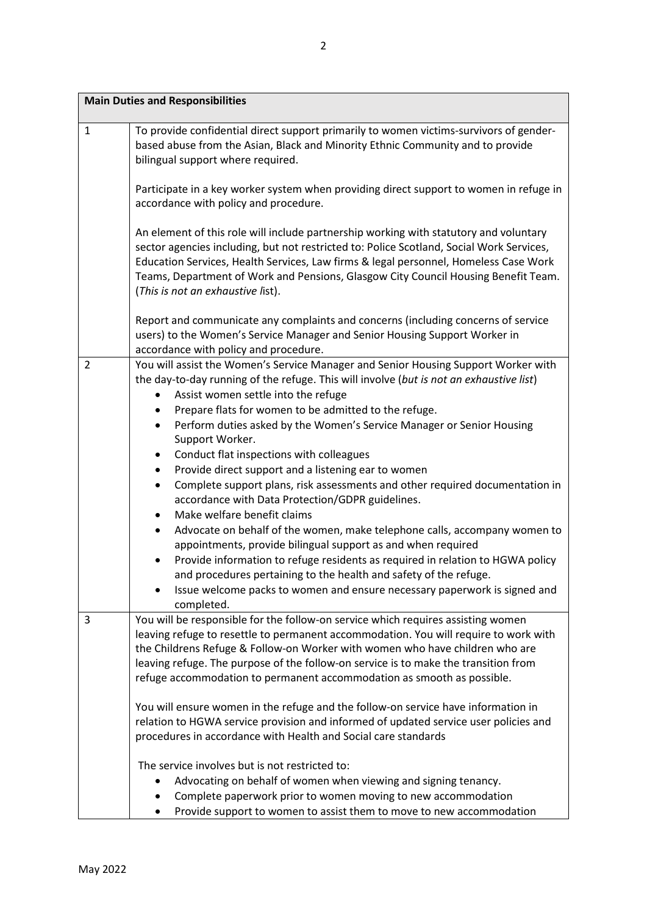| <b>Main Duties and Responsibilities</b> |                                                                                                                                                                                                                                                                                                                                                                                                                                                                                                                                                                                                                                                                                                                                                                                                                                                                                                                                                                                                                                                                                                                        |  |  |
|-----------------------------------------|------------------------------------------------------------------------------------------------------------------------------------------------------------------------------------------------------------------------------------------------------------------------------------------------------------------------------------------------------------------------------------------------------------------------------------------------------------------------------------------------------------------------------------------------------------------------------------------------------------------------------------------------------------------------------------------------------------------------------------------------------------------------------------------------------------------------------------------------------------------------------------------------------------------------------------------------------------------------------------------------------------------------------------------------------------------------------------------------------------------------|--|--|
| 1                                       | To provide confidential direct support primarily to women victims-survivors of gender-<br>based abuse from the Asian, Black and Minority Ethnic Community and to provide<br>bilingual support where required.                                                                                                                                                                                                                                                                                                                                                                                                                                                                                                                                                                                                                                                                                                                                                                                                                                                                                                          |  |  |
|                                         | Participate in a key worker system when providing direct support to women in refuge in<br>accordance with policy and procedure.                                                                                                                                                                                                                                                                                                                                                                                                                                                                                                                                                                                                                                                                                                                                                                                                                                                                                                                                                                                        |  |  |
|                                         | An element of this role will include partnership working with statutory and voluntary<br>sector agencies including, but not restricted to: Police Scotland, Social Work Services,<br>Education Services, Health Services, Law firms & legal personnel, Homeless Case Work<br>Teams, Department of Work and Pensions, Glasgow City Council Housing Benefit Team.<br>(This is not an exhaustive list).                                                                                                                                                                                                                                                                                                                                                                                                                                                                                                                                                                                                                                                                                                                   |  |  |
|                                         | Report and communicate any complaints and concerns (including concerns of service<br>users) to the Women's Service Manager and Senior Housing Support Worker in<br>accordance with policy and procedure.                                                                                                                                                                                                                                                                                                                                                                                                                                                                                                                                                                                                                                                                                                                                                                                                                                                                                                               |  |  |
| 2                                       | You will assist the Women's Service Manager and Senior Housing Support Worker with<br>the day-to-day running of the refuge. This will involve (but is not an exhaustive list)<br>Assist women settle into the refuge<br>٠<br>Prepare flats for women to be admitted to the refuge.<br>٠<br>Perform duties asked by the Women's Service Manager or Senior Housing<br>$\bullet$<br>Support Worker.<br>Conduct flat inspections with colleagues<br>٠<br>Provide direct support and a listening ear to women<br>$\bullet$<br>Complete support plans, risk assessments and other required documentation in<br>$\bullet$<br>accordance with Data Protection/GDPR guidelines.<br>Make welfare benefit claims<br>٠<br>Advocate on behalf of the women, make telephone calls, accompany women to<br>$\bullet$<br>appointments, provide bilingual support as and when required<br>Provide information to refuge residents as required in relation to HGWA policy<br>and procedures pertaining to the health and safety of the refuge.<br>Issue welcome packs to women and ensure necessary paperwork is signed and<br>completed. |  |  |
| 3                                       | You will be responsible for the follow-on service which requires assisting women<br>leaving refuge to resettle to permanent accommodation. You will require to work with<br>the Childrens Refuge & Follow-on Worker with women who have children who are<br>leaving refuge. The purpose of the follow-on service is to make the transition from<br>refuge accommodation to permanent accommodation as smooth as possible.<br>You will ensure women in the refuge and the follow-on service have information in<br>relation to HGWA service provision and informed of updated service user policies and<br>procedures in accordance with Health and Social care standards<br>The service involves but is not restricted to:                                                                                                                                                                                                                                                                                                                                                                                             |  |  |
|                                         | Advocating on behalf of women when viewing and signing tenancy.<br>Complete paperwork prior to women moving to new accommodation<br>Provide support to women to assist them to move to new accommodation<br>٠                                                                                                                                                                                                                                                                                                                                                                                                                                                                                                                                                                                                                                                                                                                                                                                                                                                                                                          |  |  |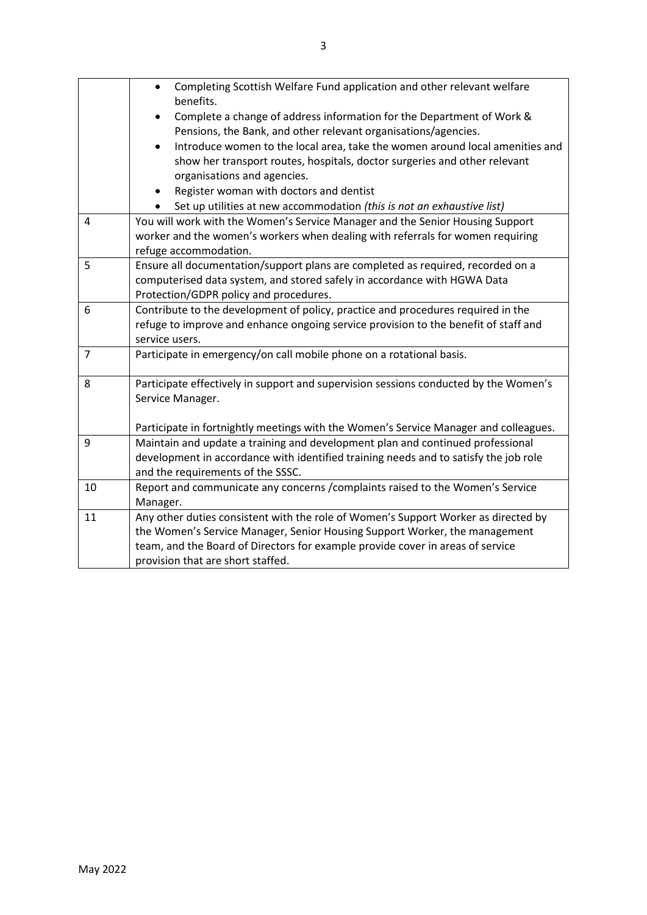|    | Completing Scottish Welfare Fund application and other relevant welfare<br>$\bullet$<br>benefits.                                                                      |
|----|------------------------------------------------------------------------------------------------------------------------------------------------------------------------|
|    | Complete a change of address information for the Department of Work &<br>$\bullet$<br>Pensions, the Bank, and other relevant organisations/agencies.                   |
|    | Introduce women to the local area, take the women around local amenities and<br>$\bullet$<br>show her transport routes, hospitals, doctor surgeries and other relevant |
|    | organisations and agencies.                                                                                                                                            |
|    | Register woman with doctors and dentist<br>٠                                                                                                                           |
|    | Set up utilities at new accommodation (this is not an exhaustive list)                                                                                                 |
| 4  | You will work with the Women's Service Manager and the Senior Housing Support                                                                                          |
|    | worker and the women's workers when dealing with referrals for women requiring                                                                                         |
|    | refuge accommodation.                                                                                                                                                  |
| 5  | Ensure all documentation/support plans are completed as required, recorded on a                                                                                        |
|    | computerised data system, and stored safely in accordance with HGWA Data                                                                                               |
| 6  | Protection/GDPR policy and procedures.<br>Contribute to the development of policy, practice and procedures required in the                                             |
|    | refuge to improve and enhance ongoing service provision to the benefit of staff and                                                                                    |
|    | service users.                                                                                                                                                         |
| 7  | Participate in emergency/on call mobile phone on a rotational basis.                                                                                                   |
|    |                                                                                                                                                                        |
| 8  | Participate effectively in support and supervision sessions conducted by the Women's<br>Service Manager.                                                               |
|    | Participate in fortnightly meetings with the Women's Service Manager and colleagues.                                                                                   |
| 9  | Maintain and update a training and development plan and continued professional                                                                                         |
|    | development in accordance with identified training needs and to satisfy the job role                                                                                   |
|    | and the requirements of the SSSC.                                                                                                                                      |
| 10 | Report and communicate any concerns / complaints raised to the Women's Service                                                                                         |
|    | Manager.                                                                                                                                                               |
| 11 | Any other duties consistent with the role of Women's Support Worker as directed by                                                                                     |
|    | the Women's Service Manager, Senior Housing Support Worker, the management                                                                                             |
|    | team, and the Board of Directors for example provide cover in areas of service                                                                                         |
|    | provision that are short staffed.                                                                                                                                      |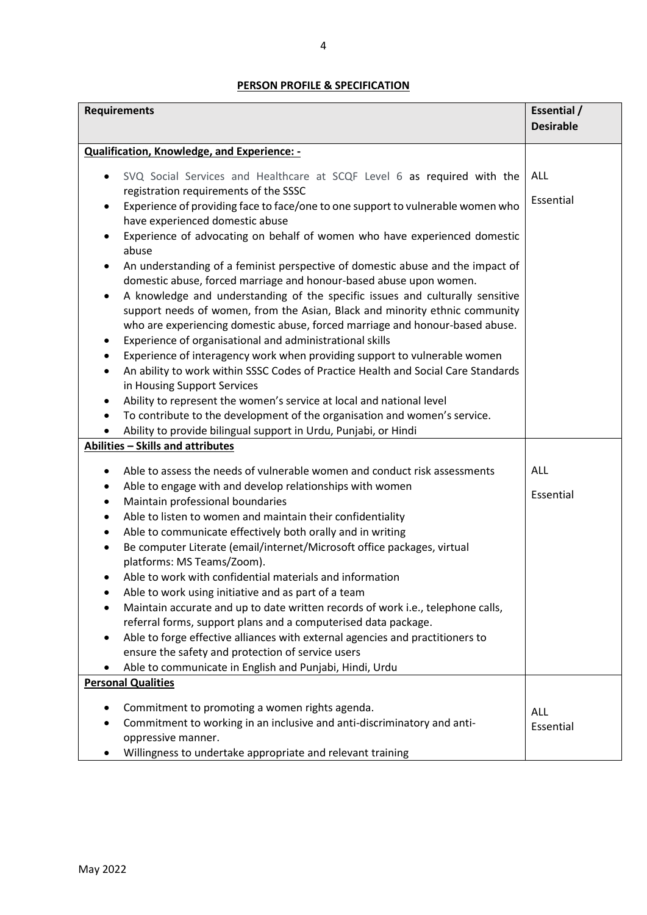## **PERSON PROFILE & SPECIFICATION**

| <b>Requirements</b>                                                                            | Essential /      |
|------------------------------------------------------------------------------------------------|------------------|
|                                                                                                | <b>Desirable</b> |
| <b>Qualification, Knowledge, and Experience: -</b>                                             |                  |
| SVQ Social Services and Healthcare at SCQF Level 6 as required with the                        | ALL              |
| registration requirements of the SSSC                                                          |                  |
| Experience of providing face to face/one to one support to vulnerable women who<br>$\bullet$   | Essential        |
| have experienced domestic abuse                                                                |                  |
| Experience of advocating on behalf of women who have experienced domestic<br>abuse             |                  |
| An understanding of a feminist perspective of domestic abuse and the impact of<br>$\bullet$    |                  |
| domestic abuse, forced marriage and honour-based abuse upon women.                             |                  |
| A knowledge and understanding of the specific issues and culturally sensitive                  |                  |
| support needs of women, from the Asian, Black and minority ethnic community                    |                  |
| who are experiencing domestic abuse, forced marriage and honour-based abuse.                   |                  |
| Experience of organisational and administrational skills                                       |                  |
| Experience of interagency work when providing support to vulnerable women<br>$\bullet$         |                  |
| An ability to work within SSSC Codes of Practice Health and Social Care Standards<br>$\bullet$ |                  |
| in Housing Support Services                                                                    |                  |
| Ability to represent the women's service at local and national level<br>$\bullet$              |                  |
| To contribute to the development of the organisation and women's service.<br>$\bullet$         |                  |
| Ability to provide bilingual support in Urdu, Punjabi, or Hindi                                |                  |
| Abilities - Skills and attributes                                                              |                  |
| Able to assess the needs of vulnerable women and conduct risk assessments<br>٠                 | <b>ALL</b>       |
| Able to engage with and develop relationships with women<br>٠                                  |                  |
| Maintain professional boundaries<br>$\bullet$                                                  | Essential        |
| Able to listen to women and maintain their confidentiality                                     |                  |
| Able to communicate effectively both orally and in writing<br>$\bullet$                        |                  |
| Be computer Literate (email/internet/Microsoft office packages, virtual<br>$\bullet$           |                  |
| platforms: MS Teams/Zoom).                                                                     |                  |
| Able to work with confidential materials and information                                       |                  |
| Able to work using initiative and as part of a team                                            |                  |
| Maintain accurate and up to date written records of work i.e., telephone calls,                |                  |
| referral forms, support plans and a computerised data package.                                 |                  |
| Able to forge effective alliances with external agencies and practitioners to<br>$\bullet$     |                  |
| ensure the safety and protection of service users                                              |                  |
| Able to communicate in English and Punjabi, Hindi, Urdu<br><b>Personal Qualities</b>           |                  |
|                                                                                                |                  |
| Commitment to promoting a women rights agenda.                                                 | <b>ALL</b>       |
| Commitment to working in an inclusive and anti-discriminatory and anti-                        | Essential        |
| oppressive manner.                                                                             |                  |
| Willingness to undertake appropriate and relevant training                                     |                  |